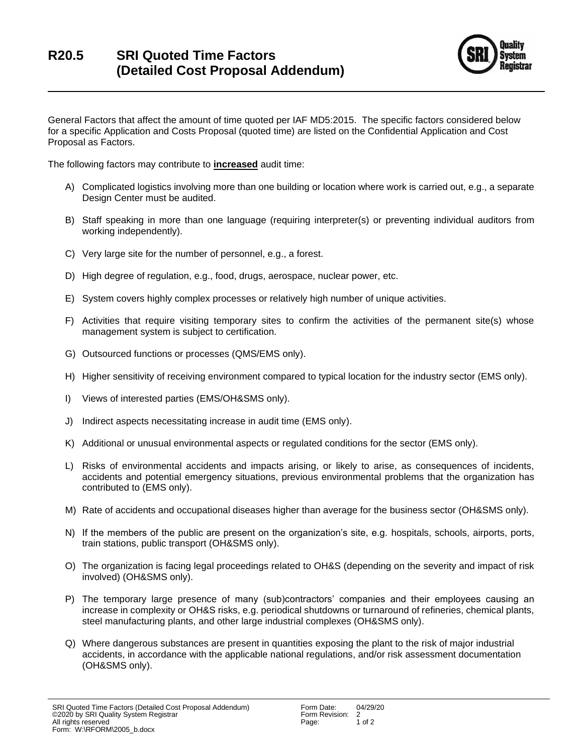

General Factors that affect the amount of time quoted per IAF MD5:2015. The specific factors considered below for a specific Application and Costs Proposal (quoted time) are listed on the Confidential Application and Cost Proposal as Factors.

The following factors may contribute to **increased** audit time:

- A) Complicated logistics involving more than one building or location where work is carried out, e.g., a separate Design Center must be audited.
- B) Staff speaking in more than one language (requiring interpreter(s) or preventing individual auditors from working independently).
- C) Very large site for the number of personnel, e.g., a forest.
- D) High degree of regulation, e.g., food, drugs, aerospace, nuclear power, etc.
- E) System covers highly complex processes or relatively high number of unique activities.
- F) Activities that require visiting temporary sites to confirm the activities of the permanent site(s) whose management system is subject to certification.
- G) Outsourced functions or processes (QMS/EMS only).
- H) Higher sensitivity of receiving environment compared to typical location for the industry sector (EMS only).
- I) Views of interested parties (EMS/OH&SMS only).
- J) Indirect aspects necessitating increase in audit time (EMS only).
- K) Additional or unusual environmental aspects or regulated conditions for the sector (EMS only).
- L) Risks of environmental accidents and impacts arising, or likely to arise, as consequences of incidents, accidents and potential emergency situations, previous environmental problems that the organization has contributed to (EMS only).
- M) Rate of accidents and occupational diseases higher than average for the business sector (OH&SMS only).
- N) If the members of the public are present on the organization's site, e.g. hospitals, schools, airports, ports, train stations, public transport (OH&SMS only).
- O) The organization is facing legal proceedings related to OH&S (depending on the severity and impact of risk involved) (OH&SMS only).
- P) The temporary large presence of many (sub)contractors' companies and their employees causing an increase in complexity or OH&S risks, e.g. periodical shutdowns or turnaround of refineries, chemical plants, steel manufacturing plants, and other large industrial complexes (OH&SMS only).
- Q) Where dangerous substances are present in quantities exposing the plant to the risk of major industrial accidents, in accordance with the applicable national regulations, and/or risk assessment documentation (OH&SMS only).